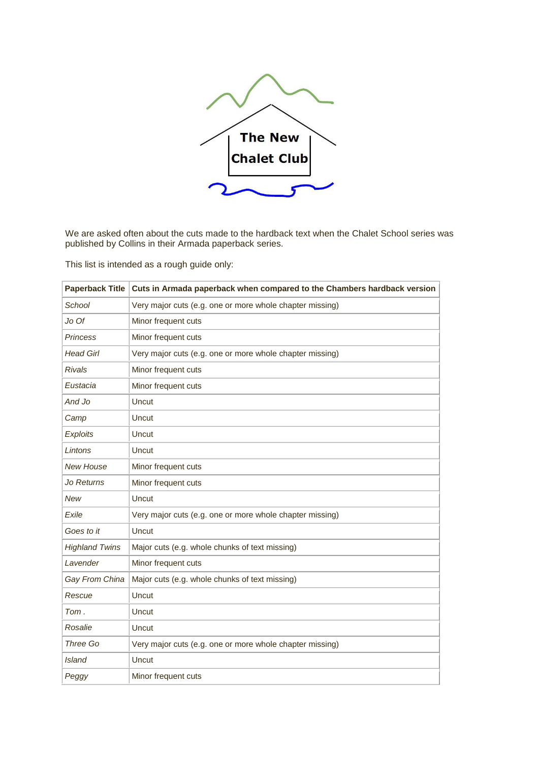

We are asked often about the cuts made to the hardback text when the Chalet School series was published by Collins in their Armada paperback series.

This list is intended as a rough guide only:

| <b>Paperback Title</b> | Cuts in Armada paperback when compared to the Chambers hardback version |
|------------------------|-------------------------------------------------------------------------|
| School                 | Very major cuts (e.g. one or more whole chapter missing)                |
| Jo Of                  | Minor frequent cuts                                                     |
| <b>Princess</b>        | Minor frequent cuts                                                     |
| <b>Head Girl</b>       | Very major cuts (e.g. one or more whole chapter missing)                |
| <b>Rivals</b>          | Minor frequent cuts                                                     |
| Eustacia               | Minor frequent cuts                                                     |
| And Jo                 | Uncut                                                                   |
| Camp                   | Uncut                                                                   |
| <b>Exploits</b>        | Uncut                                                                   |
| Lintons                | Uncut                                                                   |
| <b>New House</b>       | Minor frequent cuts                                                     |
| Jo Returns             | Minor frequent cuts                                                     |
| <b>New</b>             | Uncut                                                                   |
| Exile                  | Very major cuts (e.g. one or more whole chapter missing)                |
| Goes to it             | Uncut                                                                   |
| <b>Highland Twins</b>  | Major cuts (e.g. whole chunks of text missing)                          |
| Lavender               | Minor frequent cuts                                                     |
| Gay From China         | Major cuts (e.g. whole chunks of text missing)                          |
| Rescue                 | Uncut                                                                   |
| Tom.                   | Uncut                                                                   |
| Rosalie                | Uncut                                                                   |
| Three Go               | Very major cuts (e.g. one or more whole chapter missing)                |
| <b>Island</b>          | Uncut                                                                   |
| Peggy                  | Minor frequent cuts                                                     |